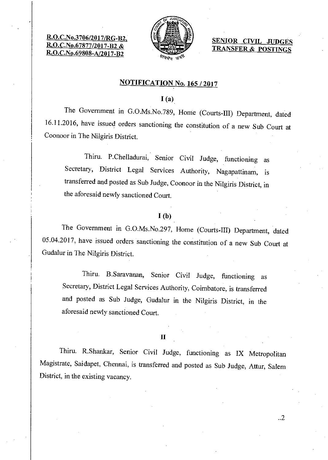R.O.C.No.3706/2017 R.O.C.No.67877/201 R.O.C.No.69808-A/2017-B2



SENIOR CIVIL TRANSFER & POSTINGS

## NOTIFICATION No. 165 / 2017

 $I(a)$ 

The Government in G.O.Ms.No.789, Home (Courts-III) Department, dated 16.11.2016, have issued orders sanctioning the constitution of a new Sub Court at Coonoor in The Nilgiris District.

Thiru. P.Chelladurai, Senior Civil Judge, functioning as Secretary, District Legal Services Authority, Nagapattinam, is transferred and posted as Sub Judge, Coonoor in the Nilgiris District, in the aforesaid newly sanctioned Court.

### $I(b)$

The Government in G.O.Ms.No.297, Home (Courts-III) Department, dated 05.04.2017, have issued orders sanctioning the constitution of a new Sub Court at Gudalur in The Nilgiris District.

Thiru. B.Saravanan, Senior Civil Judge, functioning as Secretary, District Legal Services Authority, Coimbatore, is transferred and posted as Sub Judge, Gudalur in the Nilgiris District, in the aforesaid newly sanctioned Court.

**II** 

Thiru. R.Shankar, Senior Civil Judge, functioning as IX Metropolitan Magistrate, Saidapet, Chennai, is transferred and posted as Sub Judge, Attur, Salem District, in the existing vacancy.

..2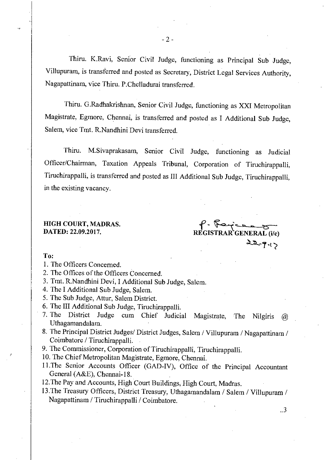Thiru. K.Ravi, Senior Civil Judge, functioning as Principal Sub Judge, Villupuram, is transferred and posted as Secretary, District Legal Services Authority, Nagapattinam, vice Thiru. P.Chelladurai transferred.

Thiru. G.Radhakrishnan, Senior Civil Judge, functioning as XXI Metropolitan Magistrate, Egmore, Chennai, is transferred and posted as I Additional Sub Judge, Salem, vice Tmt. R.Nandhini Devi transferred.

Thiru. M.Sivaprakasam, Senior Civil Judge, functioning as Judicial Officer/Chairman, Taxation Appeals Tribunal, Corporation of Tiruchirappalli, Tiruchirappalli, is transferred and posted as III Additional Sub Judge, Tiruchirappalli, in the existing vacancy.

# HIGH COURT, MADRAS.

DATED: 22.09.2017. REGISTRAR GENERAL (i/c)  $22 - 9.1$ 

## To:

- 1. The Officers Concerned.
- 2. The Offices of the Officers Concerned.
- 3. Tmt. R.Nandhini Devi, I Additional Sub Judge, Salem.
- 4. The I Additional Sub Judge, Salem.
- 5. The Sub Judge, Attur, Salem District.
- 6. The III Additional Sub Judge, Tiruchirappalli.
- 7. The District Judge cum Chief Judicial Magistrate, The Nilgiris @ Uthagamandalam.
- 8. The Principal District Judges/ District Judges, Salem / Villupuram / Nagapattinam / Coimbatore / Tiruchirappalli.
- 9. The Commissioner, Corporation of Tiruchirappalli, Tiruchirappalli.
- 10. The Chief Metropolitan Magistrate, Egmore, Chennai.
- 11.The Senior Accounts Officer (GAD-IV), Office of the Principal Accountant General (A&E), Chennai-18.
- 12.The Pay and Accounts, High Court Buildings, High Court, Madras.
- 13 .The Treasury Officers, District Treasury, Uthagamandalam / Salem / Villupuram / Nagapattinam / Tiruchirappalli / Coimbatore.

..3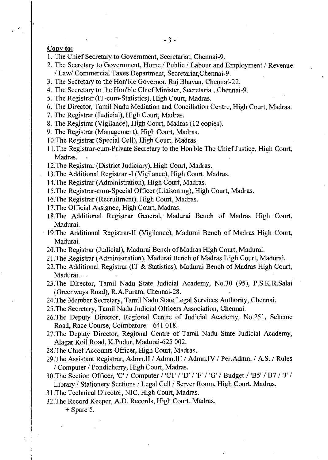## Copy to:

- 1. The Chief Secretary to Government, Secretariat, Chennai-9.
- 2. The Secretary to Government, Home / Public / Labour and Employment / Revenue / Law/ Commercial Taxes Department, Secretariat,Chennai-9.
- 3. The Secretary to the Hon'ble Governor, Raj Bhavan, Chennai-22.
- 4. The Secretary to the Hon'ble Chief Minister, Secretariat, Chennai-9.
- 5. The Registrar (IT-cum-Statistics), High Court, Madras.
- 6. The Director, Tamil Nadu Mediation and Conciliation Centre, High Court, Madras.
- 7. The Registrar (Judicial), High Court, Madras.
- 8. The Registrar (Vigilance), High Court, Madras (12 copies).
- 9. The Registrar (Management), High Court, Madras.
- 10.The Registrar (Special Cell), High Court, Madras.
- 11.The Registrar-cum-Private Secretary to the Hon'ble The Chief Justice, High Court, Madras.
- 12.The Registrar (District Judiciary), High Court, Madras.
- 13.The Additional Registrar -I (Vigilance), High Court, Madras.
- 14.The Registrar (Administration), High Court, Madras.
- 15.The Registrar-cum-Special Officer (Liaisoning), High Court, Madras.
- 16.The Registrar (Recruitment), High Court, Madras.
- 17.The Official Assignee, High Court, Madras.
- 18.The Additional Registrar General, Madurai Bench of Madras High Court, Madurai.
- 19.The Additional Registrar-II (Vigilance), Madurai Bench of Madras High Court, Madurai.
- 20.The Registrar (Judicial), Madurai Bench of Madras High Court, Madurai.
- 21 The Registrar (Administration), Madurai Bench of Madras High Court, Madurai.
- 22.The Additional Registrar (IT & Statistics), Madurai Bench of Madras High Court, Madurai.
- 23.The Director, Tamil Nadu State Judicial Academy, No.30 (95), P.S.K.R.Salai (Greenways Road), R.A.Puram, Chennai-28.
- 24.The Member Secretary, Tamil Nadu State Legal Services Authority, Chennai.
- 25.The Secretary, Tamil Nadu Judicial Officers Association, Chennai.
- 26.The Deputy Director, Regional Centre of Judicial Academy, No.251, Scheme Road, Race Course, Coimbatore —641 018.
- 27.The Deputy Director, Regional Centre of Tamil Nadu State Judicial Academy, Alagar Koil Road, K.Pudur, Madurai-625 002.
- 28.The Chief Accounts Officer, High Court, Madras.
- 29.The Assistant Registrar, Admn.II / Admn.III / Admn.IV / Per.Admn. / A.S. / Rules / Computer / Pondicherry, High Court, Madras.
- 30. The Section Officer, 'C' / Computer / 'Cl' / 'D' / 'F' / 'G' / Budget / 'B5' / B7 / 'J' / Library / Stationery Sections / Legal Cell / Server Room, High Court, Madras.
- 31.The Technical Director, NIC, High Court, Madras.
- 32.The Record Keeper, A.D. Records, High Court, Madras.

+ Spare 5.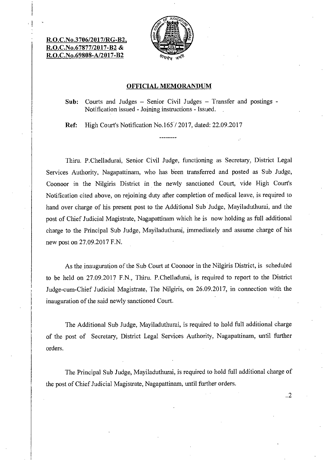## R.O.C.No.3706/2017/RG-B2, R.O.C.No.67877/2017-B2& R.O.C.No.69808-A/2017-B2



#### OFFICIAL MEMORANDUM

Sub: Courts and Judges — Senior Civil Judges — Transfer and postings - Notification issued - Joining instructions - Issued.

Ref: High Court's Notification No.165 / 2017, dated: 22.09.2017

Thiru. P.Chelladurai, Senior Civil Judge, functioning as Secretary, District Legal Services Authority, Nagapattinam, who has been transferred and posted as Sub Judge, Coonoor in the Nilgiris District in the newly sanctioned Court, vide High Court's Notification cited above, on rejoining duty after completion of medical leave, is required to hand over charge of his present post to the Additional Sub Judge, Mayiladuthurai, and the post of Chief Judicial Magistrate, Nagapattinam which he is now holding as full additional charge to the Principal Sub Judge, Mayiladuthurai, immediately and assume charge of his new post on 27.09.2017 F.N.

As the inauguration of the Sub Court at Coonoor in the Nilgiris District, is scheduled to be held on 27.09.2017 F.N., Thiru. P.Chelladurai, is required to report to the District Judge-cum-Chief Judicial Magistrate, The Nilgiris, on 26.09.2017, in connection with the inauguration of the said newly sanctioned Court.

The Additional Sub Judge, Mayiladuthurai, is required to hold full additional charge of the post of Secretary, District Legal Services Authority, Nagapattinam, until further orders.

The Principal Sub Judge, Mayiladuthurai, is required to hold full additional charge of the post of Chief Judicial Magistrate, Nagapattinam, until further orders.

..2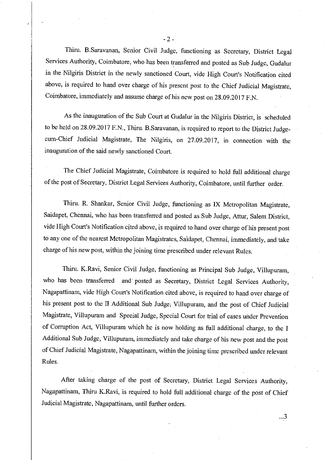Thiru. B.Saravanan, Senior Civil Judge, functioning as Secretary, District Legal Services Authority, Coimbatore, who has been transferred and posted as Sub Judge, Gudalur in the Nilgiris District in the newly sanctioned Court, vide High Court's Notification cited above, is required to hand over charge of his present post to the Chief Judicial Magistrate, Coimbatore, immediately and assume charge of his new post on 28.09.2017 F.N.

As the inauguration of the Sub Court at Gudalur in the Nilgiris District, is scheduled to be held on 28.09.2017 F.N., Thiru. B.Saravanan, is required to report to the District Judgecum-Chief Judicial Magistrate, The Nilgiris, on 27.09.2017, in connection with the inauguration of the said newly sanctioned Court.

The Chief Judicial Magistrate, Coimbatore is required to hold full additional charge of the post of Secretary, District Legal Services Authority, Coimbatore, until further order.

Thiru. R. Shankar, Senior Civil Judge, functioning as IX Metropolitan Magistrate, Saidapet, Chennai, who has been transferred and posted as Sub Judge, Attur, Salem District, vide High Court's Notification cited above, is required to hand over charge of his present post to any one of the nearest Metropolitan Magistrates, Saidapet, Chennai, immediately, and take charge of his new post, within the joining time prescribed under relevant Rules.

Thiru. K.Ravi, Senior Civil Judge, functioning as Principal Sub Judge, Villupuram, who has been transferred and posted as Secretary, District Legal Services Authority, Nagapattinam, vide High Court's Notification cited above, is required to hand over charge of his present post to the II Additional Sub Judge, Villupuram, and the post of Chief Judicial Magistrate, Villupuram and Special Judge, Special Court for trial of cases under Prevention of Corruption Act, Villupuram which he is now holding as full additional charge, to the I Additional Sub Judge, Villupuram, immediately and take charge of his new post and the post of Chief Judicial Magistrate, Nagapattinam, within the joining time prescribed under relevant Rules.

After taking charge of the post of Secretary, District Legal Services Authority, Nagapattinam, Thiru K.Ravi, is required to hold full additional charge of the post of Chief Judicial Magistrate, Nagapattinam, until further orders.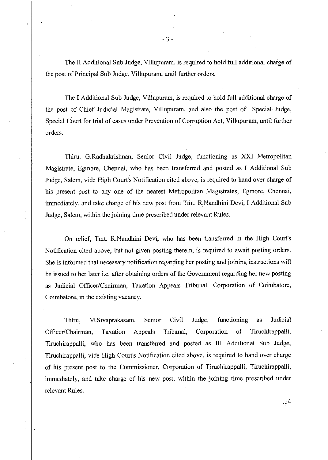The II Additional Sub Judge, Villupuram, is required to hold full additional charge of the post of Principal Sub Judge, Villupuram, until further orders.

The I Additional Sub Judge, Villupuram, is required to hold full additional charge of the post of Chief Judicial Magistrate, Villupuram, and also the post of Special Judge, Special Court for trial of cases under Prevention of Corruption Act, Villupuram, until further orders.

Thiru. G.Radhakrishnan, Senior Civil Judge, functioning as XXI Metropolitan Magistrate, Egmore, Chennai, who has been transferred and posted as I Additional Sub Judge, Salem, vide High Court's Notification cited above, is required to hand over charge of his present post to any one of the nearest Metropolitan Magistrates, Egmore, Chennai, immediately, and take charge of his new post from Tmt. R.Nandhini Devi, I Additional Sub Judge, Salem, within the joining time prescribed under relevant Rules.

On relief, Tmt. R.Nandhini Devi, who has been transferred in the High Court's Notification cited above, but not given posting therein, is required to await posting orders. She is informed that necessary notification regarding her posting and joining instructions will be issued to her later i.e. after obtaining orders of the Government regarding her new posting as Judicial Officer/Chairman, Taxation Appeals Tribunal, Corporation of Coimbatore, Coimbatore, in the existing vacancy.

Thiru. M.Sivaprakasam, Senior Civil Judge, functioning as Judicial Officer/Chairman, Taxation Appeals Tribunal, Corporation of Tiruchirappalli, Tiruchirappalli, who has been transferred and posted as III Additional Sub Judge, Tiruchirappalli, vide High Court's Notification cited above, is required to hand over charge of his present post to the Commissioner, Corporation of Tiruchirappalli, Tiruchirappalli, immediately, and take charge of his new post, within the joining time prescribed under relevant Rules.

 $...4$